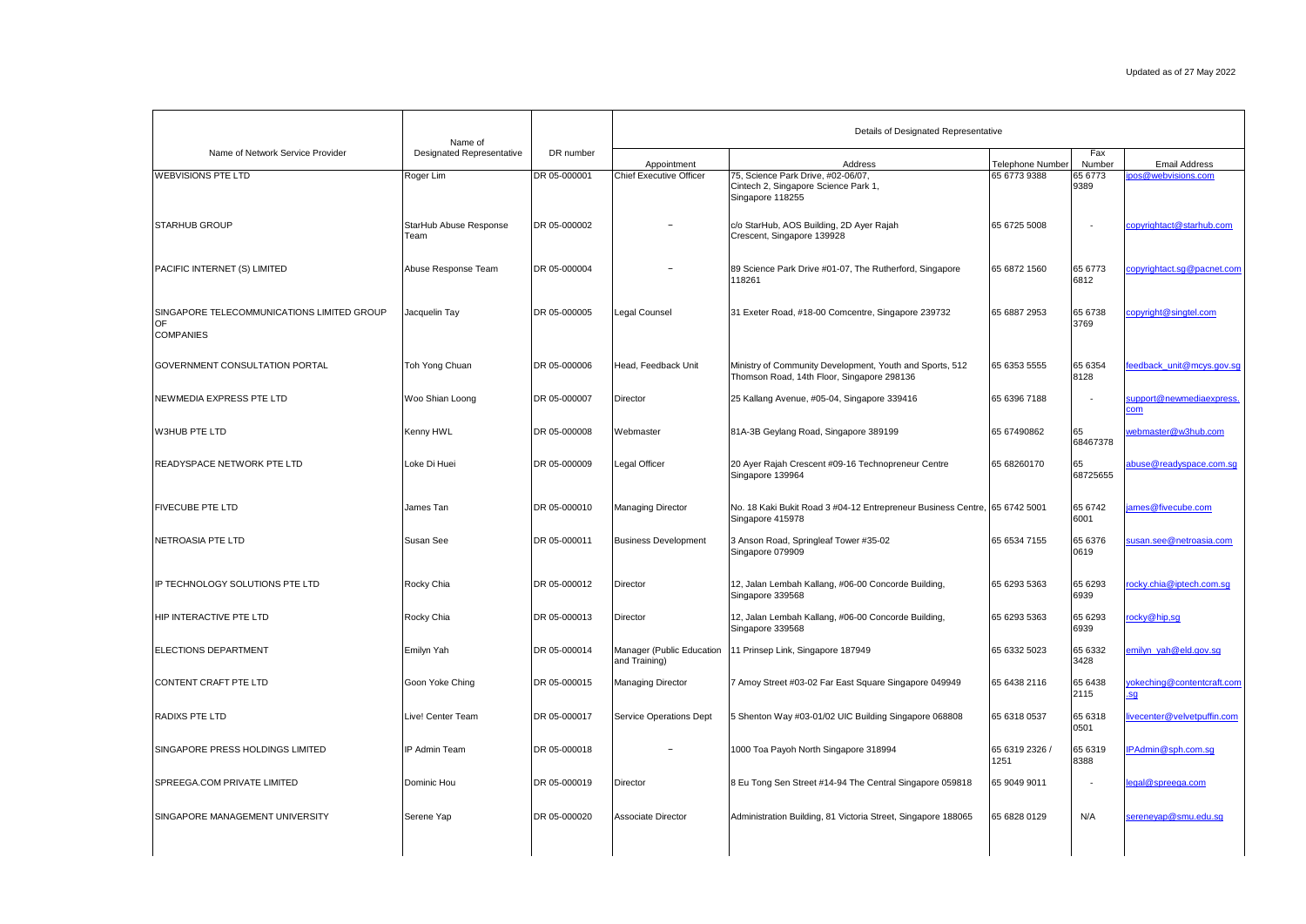|                                                                      | Name of                          |              | Details of Designated Representative          |                                                                                                           |                                         |                 |                                            |
|----------------------------------------------------------------------|----------------------------------|--------------|-----------------------------------------------|-----------------------------------------------------------------------------------------------------------|-----------------------------------------|-----------------|--------------------------------------------|
| Name of Network Service Provider                                     | <b>Designated Representative</b> | DR number    |                                               |                                                                                                           |                                         | Fax<br>Number   |                                            |
| <b>WEBVISIONS PTE LTD</b>                                            | Roger Lim                        | DR 05-000001 | Appointment<br><b>Chief Executive Officer</b> | Address<br>75, Science Park Drive, #02-06/07,<br>Cintech 2, Singapore Science Park 1,<br>Singapore 118255 | <b>Telephone Number</b><br>65 6773 9388 | 65 6773<br>9389 | <b>Email Address</b><br>pos@webvisions.com |
| <b>STARHUB GROUP</b>                                                 | StarHub Abuse Response<br>Team   | DR 05-000002 |                                               | c/o StarHub, AOS Building, 2D Ayer Rajah<br>Crescent, Singapore 139928                                    | 65 6725 5008                            |                 | copyrightact@starhub.com                   |
| PACIFIC INTERNET (S) LIMITED                                         | Abuse Response Team              | DR 05-000004 |                                               | 89 Science Park Drive #01-07, The Rutherford, Singapore<br>118261                                         | 65 6872 1560                            | 65 6773<br>6812 | copyrightact.sg@pacnet.com                 |
| SINGAPORE TELECOMMUNICATIONS LIMITED GROUP<br>OF<br><b>COMPANIES</b> | Jacquelin Tay                    | DR 05-000005 | Legal Counsel                                 | 31 Exeter Road, #18-00 Comcentre, Singapore 239732                                                        | 65 6887 2953                            | 65 6738<br>3769 | copyright@singtel.com                      |
| GOVERNMENT CONSULTATION PORTAL                                       | Toh Yong Chuan                   | DR 05-000006 | Head, Feedback Unit                           | Ministry of Community Development, Youth and Sports, 512<br>Thomson Road, 14th Floor, Singapore 298136    | 65 6353 5555                            | 65 6354<br>8128 | eedback unit@mcys.gov.sq                   |
| NEWMEDIA EXPRESS PTE LTD                                             | Woo Shian Loong                  | DR 05-000007 | Director                                      | 25 Kallang Avenue, #05-04, Singapore 339416                                                               | 65 6396 7188                            |                 | support@newmediaexpress.<br>.cm            |
| W3HUB PTE LTD                                                        | Kenny HWL                        | DR 05-000008 | Webmaster                                     | 81A-3B Geylang Road, Singapore 389199                                                                     | 65 67490862                             | 65<br>68467378  | vebmaster@w3hub.com                        |
| <b>READYSPACE NETWORK PTE LTD</b>                                    | Loke Di Huei                     | DR 05-000009 | Legal Officer                                 | 20 Ayer Rajah Crescent #09-16 Technopreneur Centre<br>Singapore 139964                                    | 65 68260170                             | 65<br>68725655  | abuse@readyspace.com.sq                    |
| <b>FIVECUBE PTE LTD</b>                                              | James Tan                        | DR 05-000010 | Managing Director                             | No. 18 Kaki Bukit Road 3 #04-12 Entrepreneur Business Centre, 65 6742 5001<br>Singapore 415978            |                                         | 65 6742<br>6001 | ames@fivecube.com                          |
| NETROASIA PTE LTD                                                    | Susan See                        | DR 05-000011 | <b>Business Development</b>                   | 3 Anson Road, Springleaf Tower #35-02<br>Singapore 079909                                                 | 65 6534 7155                            | 65 6376<br>0619 | usan.see@netroasia.com                     |
| IP TECHNOLOGY SOLUTIONS PTE LTD                                      | Rocky Chia                       | DR 05-000012 | Director                                      | 12, Jalan Lembah Kallang, #06-00 Concorde Building,<br>Singapore 339568                                   | 65 6293 5363                            | 65 6293<br>6939 | ocky.chia@iptech.com.sq                    |
| HIP INTERACTIVE PTE LTD                                              | Rocky Chia                       | DR 05-000013 | Director                                      | 12, Jalan Lembah Kallang, #06-00 Concorde Building,<br>Singapore 339568                                   | 65 6293 5363                            | 65 6293<br>6939 | ocky@hip,sq                                |
| ELECTIONS DEPARTMENT                                                 | Emilyn Yah                       | DR 05-000014 | Manager (Public Education<br>and Training)    | 11 Prinsep Link, Singapore 187949                                                                         | 65 6332 5023                            | 65 6332<br>3428 | emilyn yah@eld.gov.sg                      |
| CONTENT CRAFT PTE LTD                                                | Goon Yoke Ching                  | DR 05-000015 | Managing Director                             | 7 Amoy Street #03-02 Far East Square Singapore 049949                                                     | 65 6438 2116                            | 65 6438<br>2115 | okeching@contentcraft.com<br>sg            |
| RADIXS PTE LTD                                                       | Live! Center Team                | DR 05-000017 | Service Operations Dept                       | 5 Shenton Way #03-01/02 UIC Building Singapore 068808                                                     | 65 6318 0537                            | 65 6318<br>0501 | ivecenter@velvetpuffin.com                 |
| SINGAPORE PRESS HOLDINGS LIMITED                                     | IP Admin Team                    | DR 05-000018 |                                               | 1000 Toa Payoh North Singapore 318994                                                                     | 65 6319 2326 /<br>1251                  | 65 6319<br>8388 | PAdmin@sph.com.sq                          |
| SPREEGA.COM PRIVATE LIMITED                                          | Dominic Hou                      | DR 05-000019 | Director                                      | 8 Eu Tong Sen Street #14-94 The Central Singapore 059818                                                  | 65 9049 9011                            | $\sim$          | egal@spreega.com                           |
| SINGAPORE MANAGEMENT UNIVERSITY                                      | Serene Yap                       | DR 05-000020 | Associate Director                            | Administration Building, 81 Victoria Street, Singapore 188065                                             | 65 6828 0129                            | N/A             | sereneyap@smu.edu.sg                       |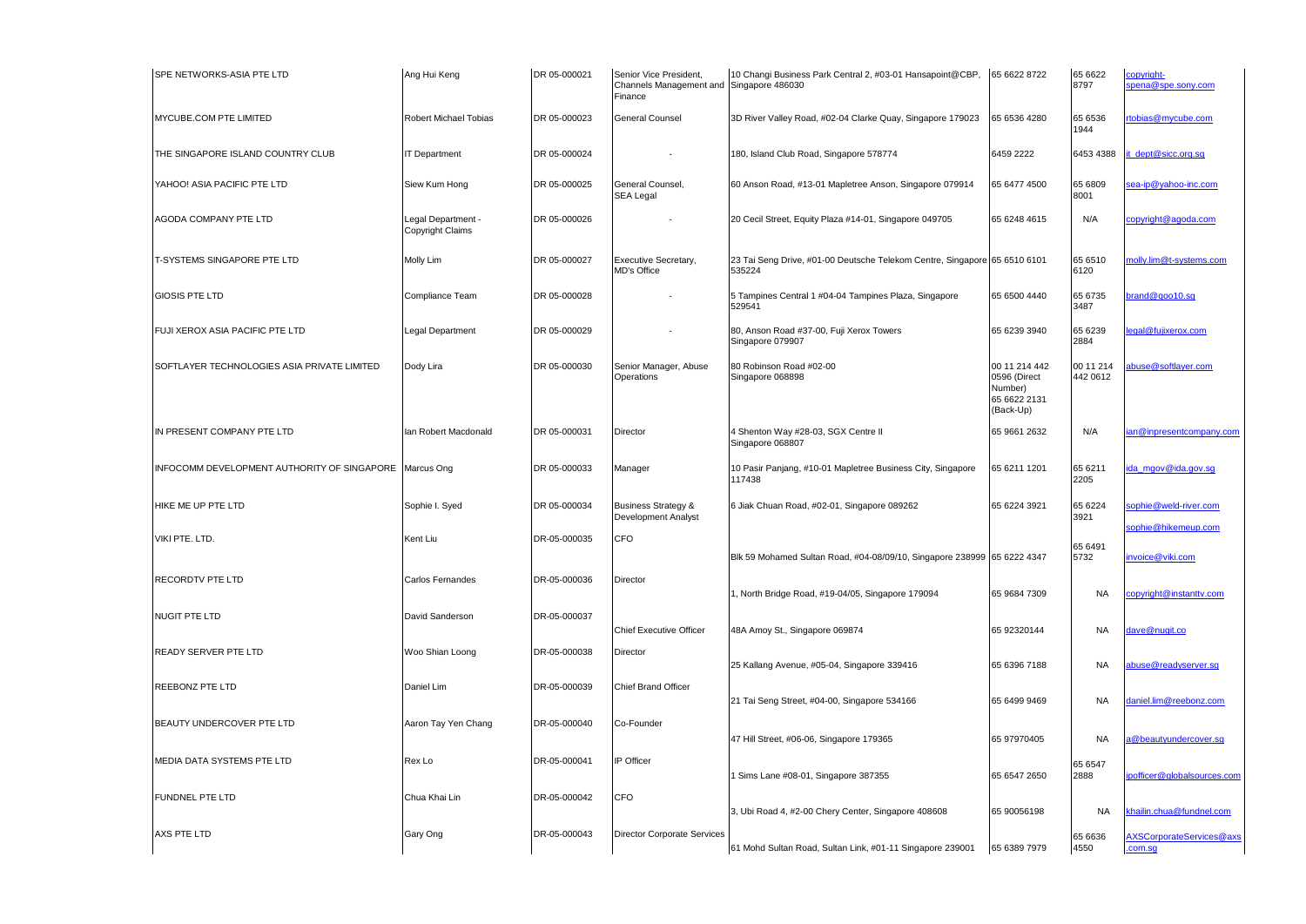| SPE NETWORKS-ASIA PTE LTD                   | Ang Hui Keng                          | DR 05-000021 | Senior Vice President,<br>Channels Management and Singapore 486030<br>Finance | 10 Changi Business Park Central 2, #03-01 Hansapoint@CBP,                           | 65 6622 8722                                                          | 65 6622<br>8797       | copyright-<br>pena@spe.sony.com              |
|---------------------------------------------|---------------------------------------|--------------|-------------------------------------------------------------------------------|-------------------------------------------------------------------------------------|-----------------------------------------------------------------------|-----------------------|----------------------------------------------|
| MYCUBE.COM PTE LIMITED                      | Robert Michael Tobias                 | DR 05-000023 | General Counsel                                                               | 3D River Valley Road, #02-04 Clarke Quay, Singapore 179023                          | 65 6536 4280                                                          | 65 6536<br>1944       | rtobias@mycube.com                           |
| THE SINGAPORE ISLAND COUNTRY CLUB           | <b>T</b> Department                   | DR 05-000024 |                                                                               | 180, Island Club Road, Singapore 578774                                             | 6459 2222                                                             | 6453 4388             | it dept@sicc.org.sq                          |
| YAHOO! ASIA PACIFIC PTE LTD                 | Siew Kum Hong                         | DR 05-000025 | General Counsel,<br><b>SEA Legal</b>                                          | 60 Anson Road, #13-01 Mapletree Anson, Singapore 079914                             | 65 6477 4500                                                          | 65 6809<br>8001       | ea-ip@yahoo-inc.com                          |
| AGODA COMPANY PTE LTD                       | -egal Department-<br>Copyright Claims | DR 05-000026 |                                                                               | 20 Cecil Street, Equity Plaza #14-01, Singapore 049705                              | 65 6248 4615                                                          | N/A                   | copyright@agoda.com                          |
| T-SYSTEMS SINGAPORE PTE LTD                 | Molly Lim                             | DR 05-000027 | Executive Secretary,<br><b>MD's Office</b>                                    | 23 Tai Seng Drive, #01-00 Deutsche Telekom Centre, Singapore 65 6510 6101<br>535224 |                                                                       | 65 6510<br>6120       | nolly.lim@t-systems.com                      |
| GIOSIS PTE LTD                              | Compliance Team                       | DR 05-000028 |                                                                               | 5 Tampines Central 1 #04-04 Tampines Plaza, Singapore<br>529541                     | 65 6500 4440                                                          | 65 6735<br>3487       | brand@goo10.sq                               |
| FUJI XEROX ASIA PACIFIC PTE LTD             | egal Department                       | DR 05-000029 |                                                                               | 80, Anson Road #37-00, Fuji Xerox Towers<br>Singapore 079907                        | 65 6239 3940                                                          | 65 6239<br>2884       | egal@fuiixerox.com                           |
| SOFTLAYER TECHNOLOGIES ASIA PRIVATE LIMITED | Dody Lira                             | DR 05-000030 | Senior Manager, Abuse<br>Operations                                           | 80 Robinson Road #02-00<br>Singapore 068898                                         | 00 11 214 442<br>0596 (Direct<br>Number)<br>65 6622 2131<br>(Back-Up) | 00 11 214<br>442 0612 | buse@softlayer.com                           |
| IN PRESENT COMPANY PTE LTD                  | an Robert Macdonald                   | DR 05-000031 | Director                                                                      | 4 Shenton Way #28-03, SGX Centre II<br>Singapore 068807                             | 65 9661 2632                                                          | N/A                   | an@inpresentcompany.com                      |
| INFOCOMM DEVELOPMENT AUTHORITY OF SINGAPORE | Marcus Ong                            | DR 05-000033 | Manager                                                                       | 10 Pasir Panjang, #10-01 Mapletree Business City, Singapore<br>117438               | 65 6211 1201                                                          | 65 6211<br>2205       | ida mgov@ida.gov.sq                          |
| HIKE ME UP PTE LTD                          | Sophie I. Syed                        | DR 05-000034 | <b>Business Strategy &amp;</b><br><b>Development Analyst</b>                  | 6 Jiak Chuan Road, #02-01, Singapore 089262                                         | 65 6224 3921                                                          | 65 6224<br>3921       | sophie@weld-river.com<br>sophie@hikemeup.com |
| VIKI PTE. LTD.                              | Kent Liu                              | DR-05-000035 | CFO                                                                           | Blk 59 Mohamed Sultan Road, #04-08/09/10, Singapore 238999 65 6222 4347             |                                                                       | 65 6491<br>5732       | invoice@viki.com                             |
| RECORDTV PTE LTD                            | Carlos Fernandes                      | DR-05-000036 | Director                                                                      | 1, North Bridge Road, #19-04/05, Singapore 179094                                   | 65 9684 7309                                                          | <b>NA</b>             | opyright@instanttv.com                       |
| NUGIT PTE LTD                               | David Sanderson                       | DR-05-000037 | <b>Chief Executive Officer</b>                                                | 48A Amoy St., Singapore 069874                                                      | 65 92320144                                                           | <b>NA</b>             | dave@nugit.co                                |
| READY SERVER PTE LTD                        | Woo Shian Loong                       | DR-05-000038 | Director                                                                      | 25 Kallang Avenue, #05-04, Singapore 339416                                         | 65 6396 7188                                                          | <b>NA</b>             | abuse@readyserver.sg                         |
| REEBONZ PTE LTD                             | Daniel Lim                            | DR-05-000039 | <b>Chief Brand Officer</b>                                                    | 21 Tai Seng Street, #04-00, Singapore 534166                                        | 65 6499 9469                                                          | <b>NA</b>             | laniel.lim@reebonz.com                       |
| BEAUTY UNDERCOVER PTE LTD                   | Aaron Tay Yen Chang                   | DR-05-000040 | Co-Founder                                                                    | 47 Hill Street, #06-06, Singapore 179365                                            | 65 97970405                                                           | <b>NA</b>             | a@beautvundercover.sq                        |
| MEDIA DATA SYSTEMS PTE LTD                  | Rex Lo                                | DR-05-000041 | IP Officer                                                                    | 1 Sims Lane #08-01, Singapore 387355                                                | 65 6547 2650                                                          | 65 6547<br>2888       | pofficer@globalsources.com                   |
| FUNDNEL PTE LTD                             | Chua Khai Lin                         | DR-05-000042 | CFO                                                                           | 3, Ubi Road 4, #2-00 Chery Center, Singapore 408608                                 | 65 90056198                                                           | <b>NA</b>             | khailin.chua@fundnel.com                     |
| AXS PTE LTD                                 | Gary Ong                              | DR-05-000043 | Director Corporate Services                                                   | 61 Mohd Sultan Road, Sultan Link, #01-11 Singapore 239001                           | 65 6389 7979                                                          | 65 6636<br>4550       | AXSCorporateServices@axs<br>com.sg           |